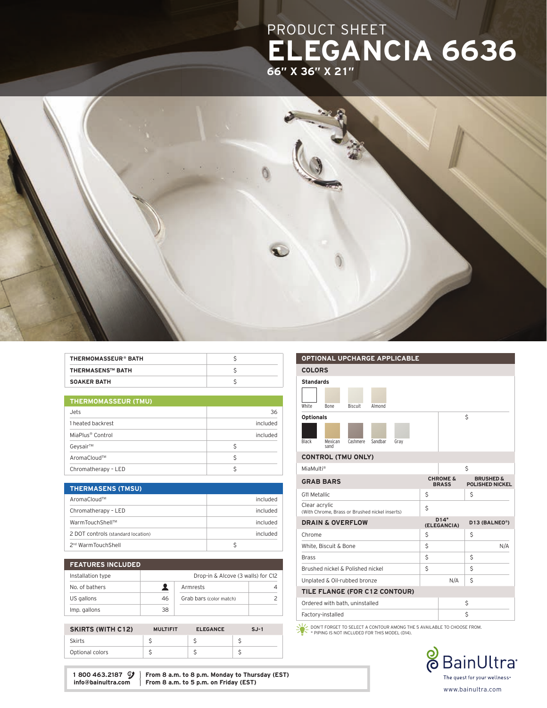## PRODUCT SHEET ELEGANCIA 6636 66" X 36" X 21"



| THERMOMASSEUR® BATH     |  |
|-------------------------|--|
| <b>THERMASENS™ BATH</b> |  |
| <b>SOAKER BATH</b>      |  |

| <b>THERMOMASSEUR (TMU)</b>   |          |  |  |
|------------------------------|----------|--|--|
| Jets                         | 36       |  |  |
| 1 heated backrest            | included |  |  |
| MiaPlus <sup>®</sup> Control | included |  |  |
| Geysair™                     | Ś        |  |  |
| AromaCloud™                  | Ŝ        |  |  |
| Chromatherapy - LED          |          |  |  |

| <b>THERMASENS (TMSU)</b>           |          |
|------------------------------------|----------|
| AromaCloud™                        | included |
| Chromatherapy - LED                | included |
| WarmTouchShell™                    | included |
| 2 DOT controls (standard location) | included |
| 2 <sup>nd</sup> WarmTouchShell     |          |

| <b>FEATURES INCLUDED</b> |    |                                    |  |
|--------------------------|----|------------------------------------|--|
| Installation type        |    | Drop-in & Alcove (3 walls) for C12 |  |
| No. of bathers           |    | Armrests                           |  |
| US gallons               | 46 | Grab bars (color match)            |  |
| Imp. gallons             | 38 |                                    |  |

| <b>SKIRTS (WITH C12)</b> | <b>MULTIFIT</b> | <b>ELEGANCE</b> | $S.J-1$ |
|--------------------------|-----------------|-----------------|---------|
| <b>Skirts</b>            |                 |                 |         |
| Optional colors          |                 |                 |         |

|                  |                                                |                |         | <b>OPTIONAL UPCHARGE APPLICABLE</b> |    |                                     |                                                |     |
|------------------|------------------------------------------------|----------------|---------|-------------------------------------|----|-------------------------------------|------------------------------------------------|-----|
| <b>COLORS</b>    |                                                |                |         |                                     |    |                                     |                                                |     |
| <b>Standards</b> |                                                |                |         |                                     |    |                                     |                                                |     |
|                  |                                                |                |         |                                     |    |                                     |                                                |     |
| White            | <b>Bone</b>                                    | <b>Biscuit</b> | Almond  |                                     |    |                                     |                                                |     |
| <b>Optionals</b> |                                                |                |         |                                     |    |                                     | Ś                                              |     |
|                  |                                                |                |         |                                     |    |                                     |                                                |     |
| Black            | Mexican<br>sand                                | Cashmere       | Sandbar | Gray                                |    |                                     |                                                |     |
|                  | <b>CONTROL (TMU ONLY)</b>                      |                |         |                                     |    |                                     |                                                |     |
| MiaMulti®        |                                                |                |         |                                     |    |                                     | Ś                                              |     |
|                  | <b>GRAB BARS</b>                               |                |         |                                     |    | <b>CHROME &amp;</b><br><b>BRASS</b> | <b>BRUSHED &amp;</b><br><b>POLISHED NICKEL</b> |     |
| G11 Metallic     |                                                |                |         |                                     | \$ |                                     | Ś                                              |     |
| Clear acrylic    | (With Chrome, Brass or Brushed nickel inserts) |                |         |                                     | \$ |                                     |                                                |     |
|                  | <b>DRAIN &amp; OVERFLOW</b>                    |                |         |                                     |    | $D14*$<br>(ELEGANCIA)               | D13 (BALNEO®)                                  |     |
| Chrome           |                                                |                |         |                                     | \$ |                                     | Ś                                              |     |
|                  | White, Biscuit & Bone                          |                |         |                                     | \$ |                                     |                                                | N/A |
| <b>Brass</b>     |                                                |                |         |                                     | Ś  |                                     | Ś                                              |     |

TILE FLANGE (FOR C12 CONTOUR)

Ordered with bath, uninstalled \$ Factory-installed \$

DON'T FORGET TO SELECT A CONTOUR AMONG THE 5 AVAILABLE TO CHOOSE FROM. \* PIPING IS NOT INCLUDED FOR THIS MODEL (D14).

Brushed nickel & Polished nickel  $\begin{array}{c|c} \hline \end{array}$  \$  $\begin{array}{c|c} \hline \end{array}$ Unplated & Oil-rubbed bronze  $N/A$  \$



1 800 463.2187  $\mathcal{Y}$  From 8 a.m. to 8 p.m. Monday to Thursday (EST) info@bainultra.com From 8 a.m. to 5 p.m. on Friday (EST) From 8 a.m. to 5 p.m. on Friday (EST)